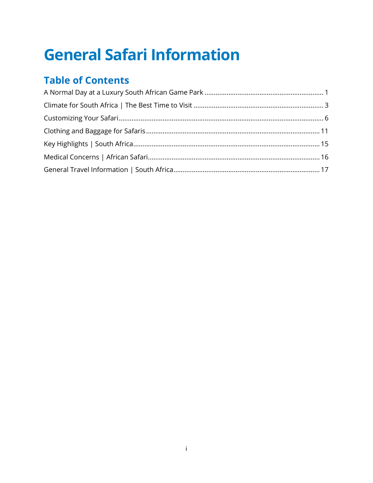## **General Safari Information**

## **Table of Contents**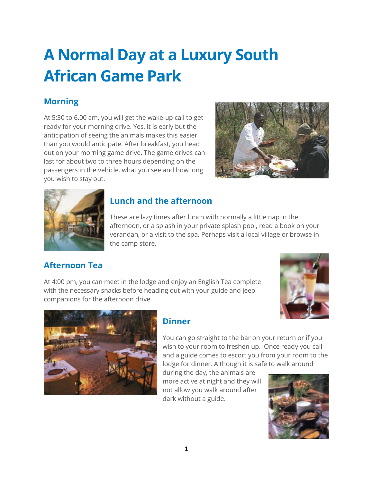## <span id="page-1-0"></span>**A Normal Day at a Luxury South African Game Park**

## **Morning**

At 5:30 to 6.00 am, you will get the wake-up call to get ready for your morning drive. Yes, it is early but the anticipation of seeing the animals makes this easier than you would anticipate. After breakfast, you head out on your morning game drive. The game drives can last for about two to three hours depending on the passengers in the vehicle, what you see and how long you wish to stay out.





## **Lunch and the afternoon**

These are lazy times after lunch with normally a little nap in the afternoon, or a splash in your private splash pool, read a book on your verandah, or a visit to the spa. Perhaps visit a local village or browse in the camp store.

## **Afternoon Tea**

At 4:00 pm, you can meet in the lodge and enjoy an English Tea complete with the necessary snacks before heading out with your guide and jeep companions for the afternoon drive.





## **Dinner**

You can go straight to the bar on your return or if you wish to your room to freshen up. Once ready you call and a guide comes to escort you from your room to the lodge for dinner. Although it is safe to walk around

during the day, the animals are more active at night and they will not allow you walk around after dark without a guide.

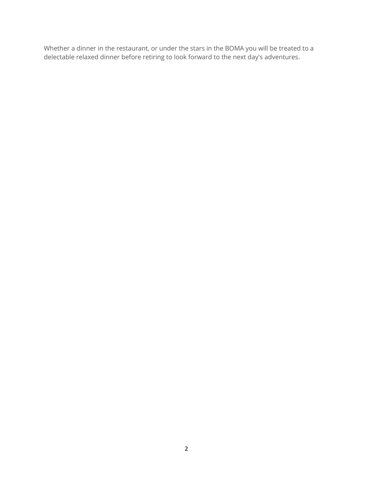Whether a dinner in the restaurant, or under the stars in the BOMA you will be treated to a delectable relaxed dinner before retiring to look forward to the next day's adventures.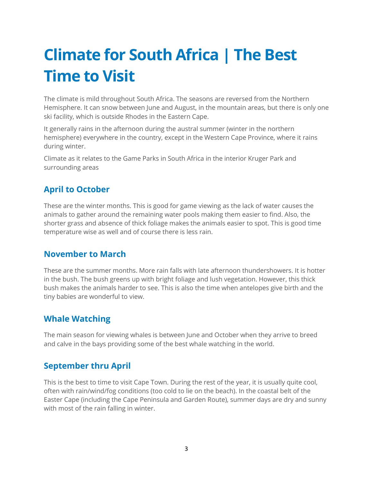## <span id="page-3-0"></span>**Climate for South Africa | The Best Time to Visit**

The climate is mild throughout South Africa. The seasons are reversed from the Northern Hemisphere. It can snow between June and August, in the mountain areas, but there is only one ski facility, which is outside Rhodes in the Eastern Cape.

It generally rains in the afternoon during the austral summer (winter in the northern hemisphere) everywhere in the country, except in the Western Cape Province, where it rains during winter.

Climate as it relates to the Game Parks in South Africa in the interior Kruger Park and surrounding areas

## **April to October**

These are the winter months. This is good for game viewing as the lack of water causes the animals to gather around the remaining water pools making them easier to find. Also, the shorter grass and absence of thick foliage makes the animals easier to spot. This is good time temperature wise as well and of course there is less rain.

## **November to March**

These are the summer months. More rain falls with late afternoon thundershowers. It is hotter in the bush. The bush greens up with bright foliage and lush vegetation. However, this thick bush makes the animals harder to see. This is also the time when antelopes give birth and the tiny babies are wonderful to view.

## **Whale Watching**

The main season for viewing whales is between June and October when they arrive to breed and calve in the bays providing some of the best whale watching in the world.

## **September thru April**

This is the best to time to visit Cape Town. During the rest of the year, it is usually quite cool, often with rain/wind/fog conditions (too cold to lie on the beach). In the coastal belt of the Easter Cape (including the Cape Peninsula and Garden Route), summer days are dry and sunny with most of the rain falling in winter.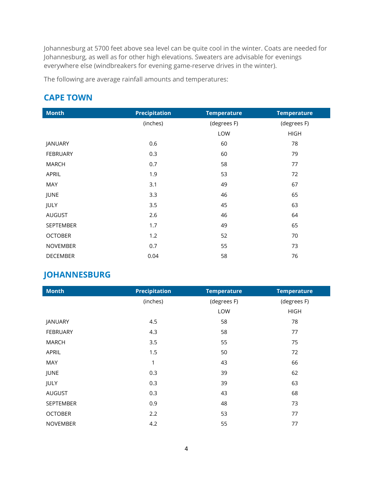Johannesburg at 5700 feet above sea level can be quite cool in the winter. Coats are needed for Johannesburg, as well as for other high elevations. Sweaters are advisable for evenings everywhere else (windbreakers for evening game-reserve drives in the winter).

The following are average rainfall amounts and temperatures:

### **CAPE TOWN**

| <b>Month</b>    | Precipitation    | <b>Temperature</b> | <b>Temperature</b> |
|-----------------|------------------|--------------------|--------------------|
|                 | (inches)         | (degrees F)        | (degrees F)        |
|                 |                  | LOW                | <b>HIGH</b>        |
| JANUARY         | 0.6              | 60                 | 78                 |
| <b>FEBRUARY</b> | 0.3              | 60                 | 79                 |
| <b>MARCH</b>    | 0.7              | 58                 | 77                 |
| APRIL           | 1.9              | 53                 | 72                 |
| <b>MAY</b>      | 3.1              | 49                 | 67                 |
| JUNE            | 3.3 <sub>2</sub> | 46                 | 65                 |
| JULY            | 3.5              | 45                 | 63                 |
| <b>AUGUST</b>   | 2.6              | 46                 | 64                 |
| SEPTEMBER       | 1.7              | 49                 | 65                 |
| <b>OCTOBER</b>  | 1.2              | 52                 | 70                 |
| <b>NOVEMBER</b> | 0.7              | 55                 | 73                 |
| <b>DECEMBER</b> | 0.04             | 58                 | 76                 |

### **JOHANNESBURG**

| <b>Month</b>     | Precipitation | <b>Temperature</b> | <b>Temperature</b> |
|------------------|---------------|--------------------|--------------------|
|                  | (inches)      | (degrees F)        | (degrees F)        |
|                  |               | LOW                | <b>HIGH</b>        |
| JANUARY          | 4.5           | 58                 | 78                 |
| <b>FEBRUARY</b>  | 4.3           | 58                 | 77                 |
| <b>MARCH</b>     | 3.5           | 55                 | 75                 |
| APRIL            | 1.5           | 50                 | 72                 |
| MAY              |               | 43                 | 66                 |
| JUNE             | 0.3           | 39                 | 62                 |
| JULY             | 0.3           | 39                 | 63                 |
| <b>AUGUST</b>    | 0.3           | 43                 | 68                 |
| <b>SEPTEMBER</b> | 0.9           | 48                 | 73                 |
| <b>OCTOBER</b>   | 2.2           | 53                 | 77                 |
| <b>NOVEMBER</b>  | 4.2           | 55                 | 77                 |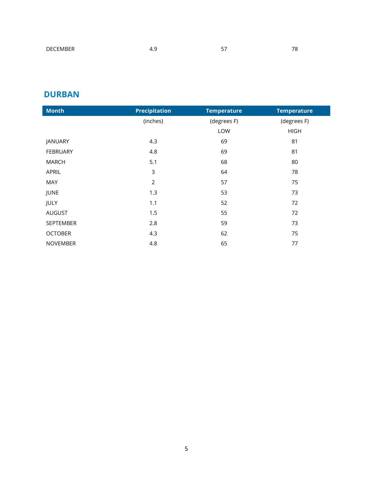## **DURBAN**

| <b>Month</b>     | Precipitation | <b>Temperature</b> | <b>Temperature</b> |
|------------------|---------------|--------------------|--------------------|
|                  | (inches)      | (degrees F)        | (degrees F)        |
|                  |               | <b>I OW</b>        | <b>HIGH</b>        |
| JANUARY          | 4.3           | 69                 | 81                 |
| <b>FEBRUARY</b>  | 4.8           | 69                 | 81                 |
| MARCH            | 5.1           | 68                 | 80                 |
| APRIL            | ς             | 64                 | 78                 |
| MAY              |               | 57                 | 75                 |
| JUNE             | 1.3           | 53                 | 73                 |
| JULY             |               | 52                 | 72                 |
| AUGUST           | 1.5           | 55                 | 72                 |
| <b>SEPTEMBER</b> | 2.8           | 59                 | 73                 |
| <b>OCTOBER</b>   | 4.3           | 62                 | 75                 |
| <b>NOVEMBER</b>  | 4.8           | 65                 | 77                 |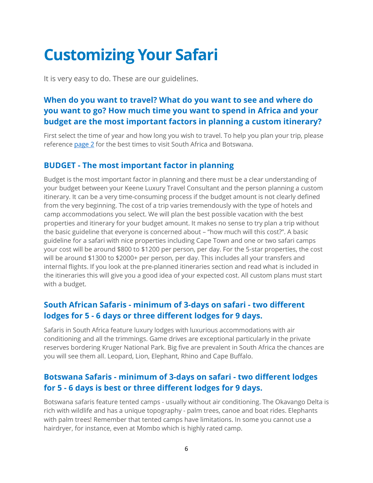## <span id="page-6-0"></span>**Customizing Your Safari**

It is very easy to do. These are our guidelines.

## **When do you want to travel? What do you want to see and where do you want to go? How much time you want to spend in Africa and your budget are the most important factors in planning a custom itinerary?**

First select the time of year and how long you wish to travel. To help you plan your trip, please reference [page 2](#page-3-0) for the best times to visit South Africa and Botswana.

### **BUDGET - The most important factor in planning**

Budget is the most important factor in planning and there must be a clear understanding of your budget between your Keene Luxury Travel Consultant and the person planning a custom itinerary. It can be a very time-consuming process if the budget amount is not clearly defined from the very beginning. The cost of a trip varies tremendously with the type of hotels and camp accommodations you select. We will plan the best possible vacation with the best properties and itinerary for your budget amount. It makes no sense to try plan a trip without the basic guideline that everyone is concerned about – "how much will this cost?". A basic guideline for a safari with nice properties including Cape Town and one or two safari camps your cost will be around \$800 to \$1200 per person, per day. For the 5-star properties, the cost will be around \$1300 to \$2000+ per person, per day. This includes all your transfers and internal flights. If you look at the pre-planned itineraries section and read what is included in the itineraries this will give you a good idea of your expected cost. All custom plans must start with a budget.

### **South African Safaris - minimum of 3-days on safari - two different lodges for 5 - 6 days or three different lodges for 9 days.**

Safaris in South Africa feature luxury lodges with luxurious accommodations with air conditioning and all the trimmings. Game drives are exceptional particularly in the private reserves bordering Kruger National Park. Big five are prevalent in South Africa the chances are you will see them all. Leopard, Lion, Elephant, Rhino and Cape Buffalo.

### **Botswana Safaris - minimum of 3-days on safari - two different lodges for 5 - 6 days is best or three different lodges for 9 days.**

Botswana safaris feature tented camps - usually without air conditioning. The Okavango Delta is rich with wildlife and has a unique topography - palm trees, canoe and boat rides. Elephants with palm trees! Remember that tented camps have limitations. In some you cannot use a hairdryer, for instance, even at Mombo which is highly rated camp.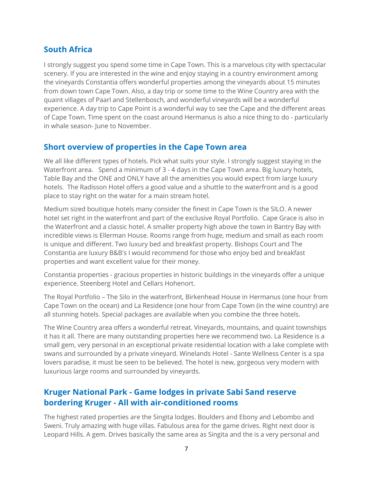### **South Africa**

I strongly suggest you spend some time in Cape Town. This is a marvelous city with spectacular scenery. If you are interested in the wine and enjoy staying in a country environment among the vineyards Constantia offers wonderful properties among the vineyards about 15 minutes from down town Cape Town. Also, a day trip or some time to the Wine Country area with the quaint villages of Paarl and Stellenbosch, and wonderful vineyards will be a wonderful experience. A day trip to Cape Point is a wonderful way to see the Cape and the different areas of Cape Town. Time spent on the coast around Hermanus is also a nice thing to do - particularly in whale season- June to November.

### **Short overview of properties in the Cape Town area**

We all like different types of hotels. Pick what suits your style. I strongly suggest staying in the Waterfront area. Spend a minimum of 3 - 4 days in the Cape Town area. Big luxury hotels, Table Bay and the ONE and ONLY have all the amenities you would expect from large luxury hotels. The Radisson Hotel offers a good value and a shuttle to the waterfront and is a good place to stay right on the water for a main stream hotel.

Medium sized boutique hotels many consider the finest in Cape Town is the SILO. A newer hotel set right in the waterfront and part of the exclusive Royal Portfolio. Cape Grace is also in the Waterfront and a classic hotel. A smaller property high above the town in Bantry Bay with incredible views is Ellerman House. Rooms range from huge, medium and small as each room is unique and different. Two luxury bed and breakfast property. Bishops Court and The Constantia are luxury B&B's I would recommend for those who enjoy bed and breakfast properties and want excellent value for their money.

Constantia properties - gracious properties in historic buildings in the vineyards offer a unique experience. Steenberg Hotel and Cellars Hohenort.

The Royal Portfolio – The Silo in the waterfront, Birkenhead House in Hermanus (one hour from Cape Town on the ocean) and La Residence (one hour from Cape Town (in the wine country) are all stunning hotels. Special packages are available when you combine the three hotels.

The Wine Country area offers a wonderful retreat. Vineyards, mountains, and quaint townships it has it all. There are many outstanding properties here we recommend two. La Residence is a small gem, very personal in an exceptional private residential location with a lake complete with swans and surrounded by a private vineyard. Winelands Hotel - Sante Wellness Center is a spa lovers paradise, it must be seen to be believed. The hotel is new, gorgeous very modern with luxurious large rooms and surrounded by vineyards.

### **Kruger National Park - Game lodges in private Sabi Sand reserve bordering Kruger - All with air-conditioned rooms**

The highest rated properties are the Singita lodges. Boulders and Ebony and Lebombo and Sweni. Truly amazing with huge villas. Fabulous area for the game drives. Right next door is Leopard Hills. A gem. Drives basically the same area as Singita and the is a very personal and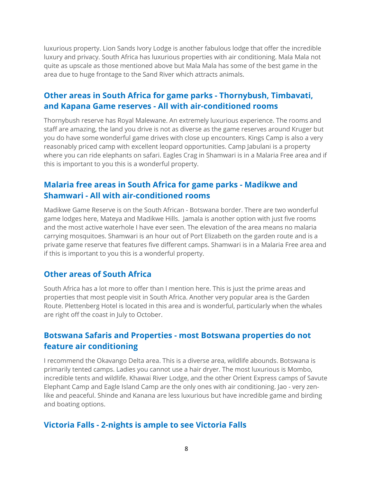luxurious property. Lion Sands Ivory Lodge is another fabulous lodge that offer the incredible luxury and privacy. South Africa has luxurious properties with air conditioning. Mala Mala not quite as upscale as those mentioned above but Mala Mala has some of the best game in the area due to huge frontage to the Sand River which attracts animals.

### **Other areas in South Africa for game parks - Thornybush, Timbavati, and Kapana Game reserves - All with air-conditioned rooms**

Thornybush reserve has Royal Malewane. An extremely luxurious experience. The rooms and staff are amazing, the land you drive is not as diverse as the game reserves around Kruger but you do have some wonderful game drives with close up encounters. Kings Camp is also a very reasonably priced camp with excellent leopard opportunities. Camp Jabulani is a property where you can ride elephants on safari. Eagles Crag in Shamwari is in a Malaria Free area and if this is important to you this is a wonderful property.

### **Malaria free areas in South Africa for game parks - Madikwe and Shamwari - All with air-conditioned rooms**

Madikwe Game Reserve is on the South African - Botswana border. There are two wonderful game lodges here, Mateya and Madikwe Hills. Jamala is another option with just five rooms and the most active waterhole I have ever seen. The elevation of the area means no malaria carrying mosquitoes. Shamwari is an hour out of Port Elizabeth on the garden route and is a private game reserve that features five different camps. Shamwari is in a Malaria Free area and if this is important to you this is a wonderful property.

### **Other areas of South Africa**

South Africa has a lot more to offer than I mention here. This is just the prime areas and properties that most people visit in South Africa. Another very popular area is the Garden Route. Plettenberg Hotel is located in this area and is wonderful, particularly when the whales are right off the coast in July to October.

### **Botswana Safaris and Properties - most Botswana properties do not feature air conditioning**

I recommend the Okavango Delta area. This is a diverse area, wildlife abounds. Botswana is primarily tented camps. Ladies you cannot use a hair dryer. The most luxurious is Mombo, incredible tents and wildlife. Khawai River Lodge, and the other Orient Express camps of Savute Elephant Camp and Eagle Island Camp are the only ones with air conditioning. Jao - very zenlike and peaceful. Shinde and Kanana are less luxurious but have incredible game and birding and boating options.

### **Victoria Falls - 2-nights is ample to see Victoria Falls**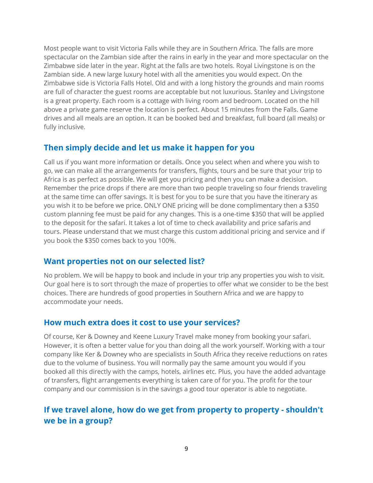Most people want to visit Victoria Falls while they are in Southern Africa. The falls are more spectacular on the Zambian side after the rains in early in the year and more spectacular on the Zimbabwe side later in the year. Right at the falls are two hotels. Royal Livingstone is on the Zambian side. A new large luxury hotel with all the amenities you would expect. On the Zimbabwe side is Victoria Falls Hotel. Old and with a long history the grounds and main rooms are full of character the guest rooms are acceptable but not luxurious. Stanley and Livingstone is a great property. Each room is a cottage with living room and bedroom. Located on the hill above a private game reserve the location is perfect. About 15 minutes from the Falls. Game drives and all meals are an option. It can be booked bed and breakfast, full board (all meals) or fully inclusive.

### **Then simply decide and let us make it happen for you**

Call us if you want more information or details. Once you select when and where you wish to go, we can make all the arrangements for transfers, flights, tours and be sure that your trip to Africa is as perfect as possible. We will get you pricing and then you can make a decision. Remember the price drops if there are more than two people traveling so four friends traveling at the same time can offer savings. It is best for you to be sure that you have the itinerary as you wish it to be before we price. ONLY ONE pricing will be done complimentary then a \$350 custom planning fee must be paid for any changes. This is a one-time \$350 that will be applied to the deposit for the safari. It takes a lot of time to check availability and price safaris and tours. Please understand that we must charge this custom additional pricing and service and if you book the \$350 comes back to you 100%.

### **Want properties not on our selected list?**

No problem. We will be happy to book and include in your trip any properties you wish to visit. Our goal here is to sort through the maze of properties to offer what we consider to be the best choices. There are hundreds of good properties in Southern Africa and we are happy to accommodate your needs.

### **How much extra does it cost to use your services?**

Of course, Ker & Downey and Keene Luxury Travel make money from booking your safari. However, it is often a better value for you than doing all the work yourself. Working with a tour company like Ker & Downey who are specialists in South Africa they receive reductions on rates due to the volume of business. You will normally pay the same amount you would if you booked all this directly with the camps, hotels, airlines etc. Plus, you have the added advantage of transfers, flight arrangements everything is taken care of for you. The profit for the tour company and our commission is in the savings a good tour operator is able to negotiate.

### **If we travel alone, how do we get from property to property - shouldn't we be in a group?**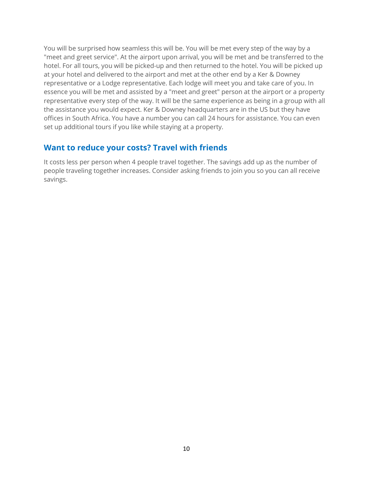You will be surprised how seamless this will be. You will be met every step of the way by a "meet and greet service". At the airport upon arrival, you will be met and be transferred to the hotel. For all tours, you will be picked-up and then returned to the hotel. You will be picked up at your hotel and delivered to the airport and met at the other end by a Ker & Downey representative or a Lodge representative. Each lodge will meet you and take care of you. In essence you will be met and assisted by a "meet and greet" person at the airport or a property representative every step of the way. It will be the same experience as being in a group with all the assistance you would expect. Ker & Downey headquarters are in the US but they have offices in South Africa. You have a number you can call 24 hours for assistance. You can even set up additional tours if you like while staying at a property.

### **Want to reduce your costs? Travel with friends**

It costs less per person when 4 people travel together. The savings add up as the number of people traveling together increases. Consider asking friends to join you so you can all receive savings.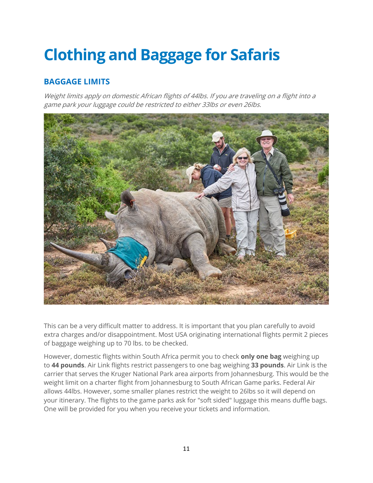# <span id="page-11-0"></span>**Clothing and Baggage for Safaris**

## **BAGGAGE LIMITS**

Weight limits apply on domestic African flights of 44lbs. If you are traveling on a flight into a game park your luggage could be restricted to either 33lbs or even 26lbs.



This can be a very difficult matter to address. It is important that you plan carefully to avoid extra charges and/or disappointment. Most USA originating international flights permit 2 pieces of baggage weighing up to 70 lbs. to be checked.

However, domestic flights within South Africa permit you to check **only one bag** weighing up to **44 pounds**. Air Link flights restrict passengers to one bag weighing **33 pounds**. Air Link is the carrier that serves the Kruger National Park area airports from Johannesburg. This would be the weight limit on a charter flight from Johannesburg to South African Game parks. Federal Air allows 44lbs. However, some smaller planes restrict the weight to 26lbs so it will depend on your itinerary. The flights to the game parks ask for "soft sided" luggage this means duffle bags. One will be provided for you when you receive your tickets and information.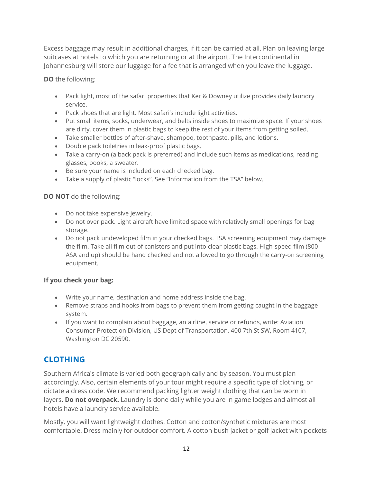Excess baggage may result in additional charges, if it can be carried at all. Plan on leaving large suitcases at hotels to which you are returning or at the airport. The Intercontinental in Johannesburg will store our luggage for a fee that is arranged when you leave the luggage.

**DO** the following:

- Pack light, most of the safari properties that Ker & Downey utilize provides daily laundry service.
- Pack shoes that are light. Most safari's include light activities.
- Put small items, socks, underwear, and belts inside shoes to maximize space. If your shoes are dirty, cover them in plastic bags to keep the rest of your items from getting soiled.
- Take smaller bottles of after-shave, shampoo, toothpaste, pills, and lotions.
- Double pack toiletries in leak-proof plastic bags.
- Take a carry-on (a back pack is preferred) and include such items as medications, reading glasses, books, a sweater.
- Be sure your name is included on each checked bag.
- Take a supply of plastic "locks". See "Information from the TSA" below.

#### **DO NOT** do the following:

- Do not take expensive jewelry.
- Do not over pack. Light aircraft have limited space with relatively small openings for bag storage.
- Do not pack undeveloped film in your checked bags. TSA screening equipment may damage the film. Take all film out of canisters and put into clear plastic bags. High-speed film (800 ASA and up) should be hand checked and not allowed to go through the carry-on screening equipment.

### **If you check your bag:**

- Write your name, destination and home address inside the bag.
- Remove straps and hooks from bags to prevent them from getting caught in the baggage system.
- If you want to complain about baggage, an airline, service or refunds, write: Aviation Consumer Protection Division, US Dept of Transportation, 400 7th St SW, Room 4107, Washington DC 20590.

## **CLOTHING**

Southern Africa's climate is varied both geographically and by season. You must plan accordingly. Also, certain elements of your tour might require a specific type of clothing, or dictate a dress code. We recommend packing lighter weight clothing that can be worn in layers. **Do not overpack.** Laundry is done daily while you are in game lodges and almost all hotels have a laundry service available.

Mostly, you will want lightweight clothes. Cotton and cotton/synthetic mixtures are most comfortable. Dress mainly for outdoor comfort. A cotton bush jacket or golf jacket with pockets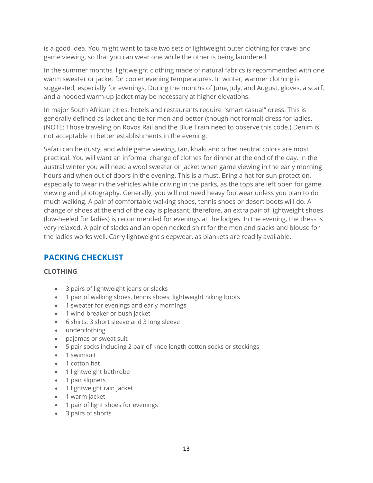is a good idea. You might want to take two sets of lightweight outer clothing for travel and game viewing, so that you can wear one while the other is being laundered.

In the summer months, lightweight clothing made of natural fabrics is recommended with one warm sweater or jacket for cooler evening temperatures. In winter, warmer clothing is suggested, especially for evenings. During the months of June, July, and August, gloves, a scarf, and a hooded warm-up jacket may be necessary at higher elevations.

In major South African cities, hotels and restaurants require "smart casual" dress. This is generally defined as jacket and tie for men and better (though not formal) dress for ladies. (NOTE: Those traveling on Rovos Rail and the Blue Train need to observe this code.) Denim is not acceptable in better establishments in the evening.

Safari can be dusty, and while game viewing, tan, khaki and other neutral colors are most practical. You will want an informal change of clothes for dinner at the end of the day. In the austral winter you will need a wool sweater or jacket when game viewing in the early morning hours and when out of doors in the evening. This is a must. Bring a hat for sun protection, especially to wear in the vehicles while driving in the parks, as the tops are left open for game viewing and photography. Generally, you will not need heavy footwear unless you plan to do much walking. A pair of comfortable walking shoes, tennis shoes or desert boots will do. A change of shoes at the end of the day is pleasant; therefore, an extra pair of lightweight shoes (low-heeled for ladies) is recommended for evenings at the lodges. In the evening, the dress is very relaxed. A pair of slacks and an open necked shirt for the men and slacks and blouse for the ladies works well. Carry lightweight sleepwear, as blankets are readily available.

## **PACKING CHECKLIST**

#### **CLOTHING**

- 3 pairs of lightweight jeans or slacks
- 1 pair of walking shoes, tennis shoes, lightweight hiking boots
- 1 sweater for evenings and early mornings
- 1 wind-breaker or bush jacket
- 6 shirts; 3 short sleeve and 3 long sleeve
- underclothing
- pajamas or sweat suit
- 5 pair socks including 2 pair of knee length cotton socks or stockings
- 1 swimsuit
- 1 cotton hat
- 1 lightweight bathrobe
- 1 pair slippers
- 1 lightweight rain jacket
- 1 warm jacket
- 1 pair of light shoes for evenings
- 3 pairs of shorts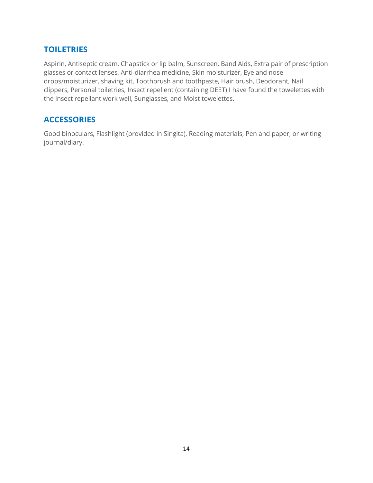### **TOILETRIES**

Aspirin, Antiseptic cream, Chapstick or lip balm, Sunscreen, Band Aids, Extra pair of prescription glasses or contact lenses, Anti-diarrhea medicine, Skin moisturizer, Eye and nose drops/moisturizer, shaving kit, Toothbrush and toothpaste, Hair brush, Deodorant, Nail clippers, Personal toiletries, Insect repellent (containing DEET) I have found the towelettes with the insect repellant work well, Sunglasses, and Moist towelettes.

### **ACCESSORIES**

Good binoculars, Flashlight (provided in Singita), Reading materials, Pen and paper, or writing journal/diary.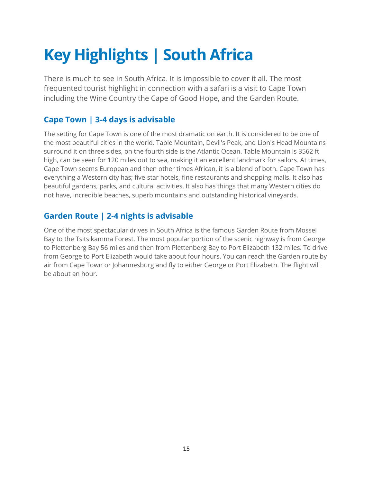# <span id="page-15-0"></span>**Key Highlights | South Africa**

There is much to see in South Africa. It is impossible to cover it all. The most frequented tourist highlight in connection with a safari is a visit to Cape Town including the Wine Country the Cape of Good Hope, and the Garden Route.

## **Cape Town | 3-4 days is advisable**

The setting for Cape Town is one of the most dramatic on earth. It is considered to be one of the most beautiful cities in the world. Table Mountain, Devil's Peak, and Lion's Head Mountains surround it on three sides, on the fourth side is the Atlantic Ocean. Table Mountain is 3562 ft high, can be seen for 120 miles out to sea, making it an excellent landmark for sailors. At times, Cape Town seems European and then other times African, it is a blend of both. Cape Town has everything a Western city has; five-star hotels, fine restaurants and shopping malls. It also has beautiful gardens, parks, and cultural activities. It also has things that many Western cities do not have, incredible beaches, superb mountains and outstanding historical vineyards.

## **Garden Route | 2-4 nights is advisable**

One of the most spectacular drives in South Africa is the famous Garden Route from Mossel Bay to the Tsitsikamma Forest. The most popular portion of the scenic highway is from George to Plettenberg Bay 56 miles and then from Plettenberg Bay to Port Elizabeth 132 miles. To drive from George to Port Elizabeth would take about four hours. You can reach the Garden route by air from Cape Town or Johannesburg and fly to either George or Port Elizabeth. The flight will be about an hour.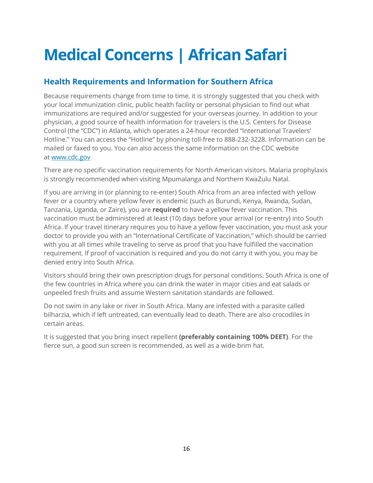## <span id="page-16-0"></span>**Medical Concerns | African Safari**

### **Health Requirements and Information for Southern Africa**

Because requirements change from time to time, it is strongly suggested that you check with your local immunization clinic, public health facility or personal physician to find out what immunizations are required and/or suggested for your overseas journey. In addition to your physician, a good source of health information for travelers is the U.S. Centers for Disease Control (the "CDC") in Atlanta, which operates a 24-hour recorded "International Travelers' Hotline." You can access the "Hotline" by phoning toll-free to 888-232-3228. Information can be mailed or faxed to you. You can also access the same information on the CDC website at [www.cdc.gov](http://www.cdc.gov/)

There are no specific vaccination requirements for North American visitors. Malaria prophylaxis is strongly recommended when visiting Mpumalanga and Northern KwaZulu Natal.

If you are arriving in (or planning to re-enter) South Africa from an area infected with yellow fever or a country where yellow fever is endemic (such as Burundi, Kenya, Rwanda, Sudan, Tanzania, Uganda, or Zaire), you are **required** to have a yellow fever vaccination. This vaccination must be administered at least (10) days before your arrival (or re-entry) into South Africa. If your travel itinerary requires you to have a yellow fever vaccination, you must ask your doctor to provide you with an "International Certificate of Vaccination," which should be carried with you at all times while traveling to serve as proof that you have fulfilled the vaccination requirement. If proof of vaccination is required and you do not carry it with you, you may be denied entry into South Africa.

Visitors should bring their own prescription drugs for personal conditions. South Africa is one of the few countries in Africa where you can drink the water in major cities and eat salads or unpeeled fresh fruits and assume Western sanitation standards are followed.

Do not swim in any lake or river in South Africa. Many are infested with a parasite called bilharzia, which if left untreated, can eventually lead to death. There are also crocodiles in certain areas.

It is suggested that you bring insect repellent **(preferably containing 100% DEET)**. For the fierce sun, a good sun screen is recommended, as well as a wide-brim hat.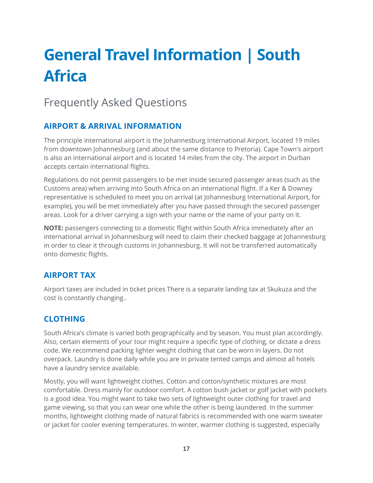## <span id="page-17-0"></span>**General Travel Information | South Africa**

## Frequently Asked Questions

## **AIRPORT & ARRIVAL INFORMATION**

The principle international airport is the Johannesburg International Airport, located 19 miles from downtown Johannesburg (and about the same distance to Pretoria). Cape Town's airport is also an international airport and is located 14 miles from the city. The airport in Durban accepts certain international flights.

Regulations do not permit passengers to be met inside secured passenger areas (such as the Customs area) when arriving into South Africa on an international flight. If a Ker & Downey representative is scheduled to meet you on arrival (at Johannesburg International Airport, for example), you will be met immediately after you have passed through the secured passenger areas. Look for a driver carrying a sign with your name or the name of your party on it.

**NOTE:** passengers connecting to a domestic flight within South Africa immediately after an international arrival in Johannesburg will need to claim their checked baggage at Johannesburg in order to clear it through customs in Johannesburg. It will not be transferred automatically onto domestic flights.

## **AIRPORT TAX**

Airport taxes are included in ticket prices There is a separate landing tax at Skukuza and the cost is constantly changing..

### **CLOTHING**

South Africa's climate is varied both geographically and by season. You must plan accordingly. Also, certain elements of your tour might require a specific type of clothing, or dictate a dress code. We recommend packing lighter weight clothing that can be worn in layers. Do not overpack. Laundry is done daily while you are in private tented camps and almost all hotels have a laundry service available.

Mostly, you will want lightweight clothes. Cotton and cotton/synthetic mixtures are most comfortable. Dress mainly for outdoor comfort. A cotton bush jacket or golf jacket with pockets is a good idea. You might want to take two sets of lightweight outer clothing for travel and game viewing, so that you can wear one while the other is being laundered. In the summer months, lightweight clothing made of natural fabrics is recommended with one warm sweater or jacket for cooler evening temperatures. In winter, warmer clothing is suggested, especially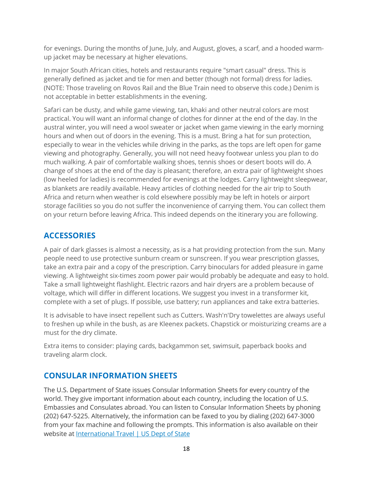for evenings. During the months of June, July, and August, gloves, a scarf, and a hooded warmup jacket may be necessary at higher elevations.

In major South African cities, hotels and restaurants require "smart casual" dress. This is generally defined as jacket and tie for men and better (though not formal) dress for ladies. (NOTE: Those traveling on Rovos Rail and the Blue Train need to observe this code.) Denim is not acceptable in better establishments in the evening.

Safari can be dusty, and while game viewing, tan, khaki and other neutral colors are most practical. You will want an informal change of clothes for dinner at the end of the day. In the austral winter, you will need a wool sweater or jacket when game viewing in the early morning hours and when out of doors in the evening. This is a must. Bring a hat for sun protection, especially to wear in the vehicles while driving in the parks, as the tops are left open for game viewing and photography. Generally, you will not need heavy footwear unless you plan to do much walking. A pair of comfortable walking shoes, tennis shoes or desert boots will do. A change of shoes at the end of the day is pleasant; therefore, an extra pair of lightweight shoes (low heeled for ladies) is recommended for evenings at the lodges. Carry lightweight sleepwear, as blankets are readily available. Heavy articles of clothing needed for the air trip to South Africa and return when weather is cold elsewhere possibly may be left in hotels or airport storage facilities so you do not suffer the inconvenience of carrying them. You can collect them on your return before leaving Africa. This indeed depends on the itinerary you are following.

### **ACCESSORIES**

A pair of dark glasses is almost a necessity, as is a hat providing protection from the sun. Many people need to use protective sunburn cream or sunscreen. If you wear prescription glasses, take an extra pair and a copy of the prescription. Carry binoculars for added pleasure in game viewing. A lightweight six-times zoom power pair would probably be adequate and easy to hold. Take a small lightweight flashlight. Electric razors and hair dryers are a problem because of voltage, which will differ in different locations. We suggest you invest in a transformer kit, complete with a set of plugs. If possible, use battery; run appliances and take extra batteries.

It is advisable to have insect repellent such as Cutters. Wash'n'Dry towelettes are always useful to freshen up while in the bush, as are Kleenex packets. Chapstick or moisturizing creams are a must for the dry climate.

Extra items to consider: playing cards, backgammon set, swimsuit, paperback books and traveling alarm clock.

### **CONSULAR INFORMATION SHEETS**

The U.S. Department of State issues Consular Information Sheets for every country of the world. They give important information about each country, including the location of U.S. Embassies and Consulates abroad. You can listen to Consular Information Sheets by phoning (202) 647-5225. Alternatively, the information can be faxed to you by dialing (202) 647-3000 from your fax machine and following the prompts. This information is also available on their website at [International Travel | US Dept of State](http://travel.state.gov/travel/cis_pa_tw/cis/cis_1008.html)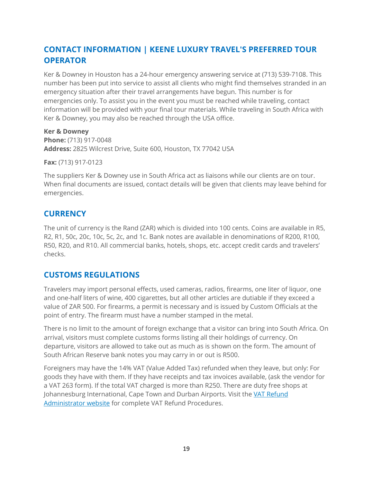## **CONTACT INFORMATION | KEENE LUXURY TRAVEL'S PREFERRED TOUR OPERATOR**

Ker & Downey in Houston has a 24-hour emergency answering service at (713) 539-7108. This number has been put into service to assist all clients who might find themselves stranded in an emergency situation after their travel arrangements have begun. This number is for emergencies only. To assist you in the event you must be reached while traveling, contact information will be provided with your final tour materials. While traveling in South Africa with Ker & Downey, you may also be reached through the USA office.

**Ker & Downey Phone:** (713) 917-0048 **Address:** 2825 Wilcrest Drive, Suite 600, Houston, TX 77042 USA

**Fax:** (713) 917-0123

The suppliers Ker & Downey use in South Africa act as liaisons while our clients are on tour. When final documents are issued, contact details will be given that clients may leave behind for emergencies.

### **CURRENCY**

The unit of currency is the Rand (ZAR) which is divided into 100 cents. Coins are available in R5, R2, R1, 50c, 20c, 10c, 5c, 2c, and 1c. Bank notes are available in denominations of R200, R100, R50, R20, and R10. All commercial banks, hotels, shops, etc. accept credit cards and travelers' checks.

### **CUSTOMS REGULATIONS**

Travelers may import personal effects, used cameras, radios, firearms, one liter of liquor, one and one-half liters of wine, 400 cigarettes, but all other articles are dutiable if they exceed a value of ZAR 500. For firearms, a permit is necessary and is issued by Custom Officials at the point of entry. The firearm must have a number stamped in the metal.

There is no limit to the amount of foreign exchange that a visitor can bring into South Africa. On arrival, visitors must complete customs forms listing all their holdings of currency. On departure, visitors are allowed to take out as much as is shown on the form. The amount of South African Reserve bank notes you may carry in or out is R500.

Foreigners may have the 14% VAT (Value Added Tax) refunded when they leave, but only: For goods they have with them. If they have receipts and tax invoices available, (ask the vendor for a VAT 263 form). If the total VAT charged is more than R250. There are duty free shops at Johannesburg International, Cape Town and Durban Airports. Visit the [VAT Refund](http://www.taxrefunds.co.za/images/downloads/Refund-Procedure-English.pdf)  [Administrator website](http://www.taxrefunds.co.za/images/downloads/Refund-Procedure-English.pdf) for complete VAT Refund Procedures.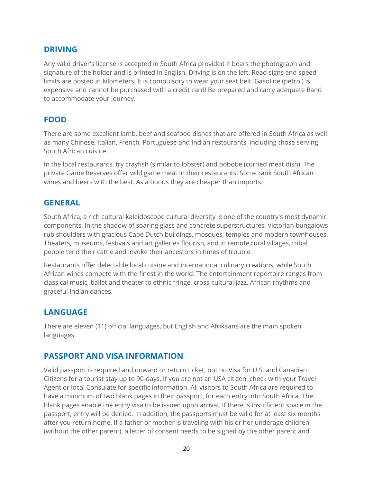### **DRIVING**

Any valid driver's license is accepted in South Africa provided it bears the photograph and signature of the holder and is printed in English. Driving is on the left. Road signs and speed limits are posted in kilometers. It is compulsory to wear your seat belt. Gasoline (petrol) is expensive and cannot be purchased with a credit card! Be prepared and carry adequate Rand to accommodate your journey.

### **FOOD**

There are some excellent lamb, beef and seafood dishes that are offered in South Africa as well as many Chinese, Italian, French, Portuguese and Indian restaurants, including those serving South African cuisine.

In the local restaurants, try crayfish (similar to lobster) and bobotie (curried meat dish). The private Game Reserves offer wild game meat in their restaurants. Some rank South African wines and beers with the best. As a bonus they are cheaper than imports.

### **GENERAL**

South Africa, a rich cultural kaleidoscope cultural diversity is one of the country's most dynamic components. In the shadow of soaring glass and concrete superstructures, Victorian bungalows rub shoulders with gracious Cape Dutch buildings, mosques, temples and modern townhouses. Theaters, museums, festivals and art galleries flourish, and in remote rural villages, tribal people tend their cattle and invoke their ancestors in times of trouble.

Restaurants offer delectable local cuisine and international culinary creations, while South African wines compete with the finest in the world. The entertainment repertoire ranges from classical music, ballet and theater to ethnic fringe, cross-cultural jazz, African rhythms and graceful Indian dances.

### **LANGUAGE**

There are eleven (11) official languages, but English and Afrikaans are the main spoken languages.

### **PASSPORT AND VISA INFORMATION**

Valid passport is required and onward or return ticket, but no Visa for U.S. and Canadian Citizens for a tourist stay up to 90-days. If you are not an USA citizen, check with your Travel Agent or local Consulate for specific information. All visitors to South Africa are required to have a minimum of two blank pages in their passport, for each entry into South Africa. The blank pages enable the entry visa to be issued upon arrival. If there is insufficient space in the passport, entry will be denied. In addition, the passports must be valid for at least six months after you return home. If a father or mother is traveling with his or her underage children (without the other parent), a letter of consent needs to be signed by the other parent and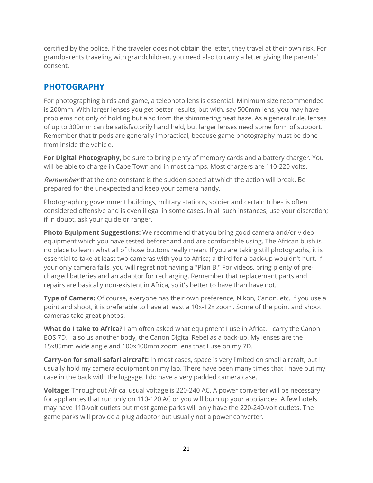certified by the police. If the traveler does not obtain the letter, they travel at their own risk. For grandparents traveling with grandchildren, you need also to carry a letter giving the parents' consent.

### **PHOTOGRAPHY**

For photographing birds and game, a telephoto lens is essential. Minimum size recommended is 200mm. With larger lenses you get better results, but with, say 500mm lens, you may have problems not only of holding but also from the shimmering heat haze. As a general rule, lenses of up to 300mm can be satisfactorily hand held, but larger lenses need some form of support. Remember that tripods are generally impractical, because game photography must be done from inside the vehicle.

For Digital Photography, be sure to bring plenty of memory cards and a battery charger. You will be able to charge in Cape Town and in most camps. Most chargers are 110-220 volts.

Remember that the one constant is the sudden speed at which the action will break. Be prepared for the unexpected and keep your camera handy.

Photographing government buildings, military stations, soldier and certain tribes is often considered offensive and is even illegal in some cases. In all such instances, use your discretion; if in doubt, ask your guide or ranger.

**Photo Equipment Suggestions:** We recommend that you bring good camera and/or video equipment which you have tested beforehand and are comfortable using. The African bush is no place to learn what all of those buttons really mean. If you are taking still photographs, it is essential to take at least two cameras with you to Africa; a third for a back-up wouldn't hurt. If your only camera fails, you will regret not having a "Plan B." For videos, bring plenty of precharged batteries and an adaptor for recharging. Remember that replacement parts and repairs are basically non-existent in Africa, so it's better to have than have not.

**Type of Camera:** Of course, everyone has their own preference, Nikon, Canon, etc. If you use a point and shoot, it is preferable to have at least a 10x-12x zoom. Some of the point and shoot cameras take great photos.

**What do I take to Africa?** I am often asked what equipment I use in Africa. I carry the Canon EOS 7D. I also us another body, the Canon Digital Rebel as a back-up. My lenses are the 15x85mm wide angle and 100x400mm zoom lens that I use on my 7D.

**Carry-on for small safari aircraft:** In most cases, space is very limited on small aircraft, but I usually hold my camera equipment on my lap. There have been many times that I have put my case in the back with the luggage. I do have a very padded camera case.

**Voltage:** Throughout Africa, usual voltage is 220-240 AC. A power converter will be necessary for appliances that run only on 110-120 AC or you will burn up your appliances. A few hotels may have 110-volt outlets but most game parks will only have the 220-240-volt outlets. The game parks will provide a plug adaptor but usually not a power converter.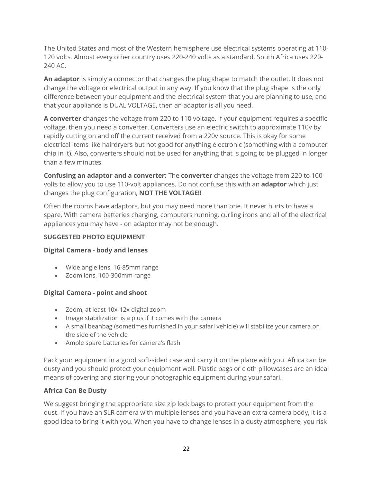The United States and most of the Western hemisphere use electrical systems operating at 110- 120 volts. Almost every other country uses 220-240 volts as a standard. South Africa uses 220- 240 AC.

**An adaptor** is simply a connector that changes the plug shape to match the outlet. It does not change the voltage or electrical output in any way. If you know that the plug shape is the only difference between your equipment and the electrical system that you are planning to use, and that your appliance is DUAL VOLTAGE, then an adaptor is all you need.

**A converter** changes the voltage from 220 to 110 voltage. If your equipment requires a specific voltage, then you need a converter. Converters use an electric switch to approximate 110v by rapidly cutting on and off the current received from a 220v source. This is okay for some electrical items like hairdryers but not good for anything electronic (something with a computer chip in it). Also, converters should not be used for anything that is going to be plugged in longer than a few minutes.

**Confusing an adaptor and a converter:** The **converter** changes the voltage from 220 to 100 volts to allow you to use 110-volt appliances. Do not confuse this with an **adaptor** which just changes the plug configuration, **NOT THE VOLTAGE!!**

Often the rooms have adaptors, but you may need more than one. It never hurts to have a spare. With camera batteries charging, computers running, curling irons and all of the electrical appliances you may have - on adaptor may not be enough.

### **SUGGESTED PHOTO EQUIPMENT**

#### **Digital Camera - body and lenses**

- Wide angle lens, 16-85mm range
- Zoom lens, 100-300mm range

#### **Digital Camera - point and shoot**

- Zoom, at least 10x-12x digital zoom
- Image stabilization is a plus if it comes with the camera
- A small beanbag (sometimes furnished in your safari vehicle) will stabilize your camera on the side of the vehicle
- Ample spare batteries for camera's flash

Pack your equipment in a good soft-sided case and carry it on the plane with you. Africa can be dusty and you should protect your equipment well. Plastic bags or cloth pillowcases are an ideal means of covering and storing your photographic equipment during your safari.

### **Africa Can Be Dusty**

We suggest bringing the appropriate size zip lock bags to protect your equipment from the dust. If you have an SLR camera with multiple lenses and you have an extra camera body, it is a good idea to bring it with you. When you have to change lenses in a dusty atmosphere, you risk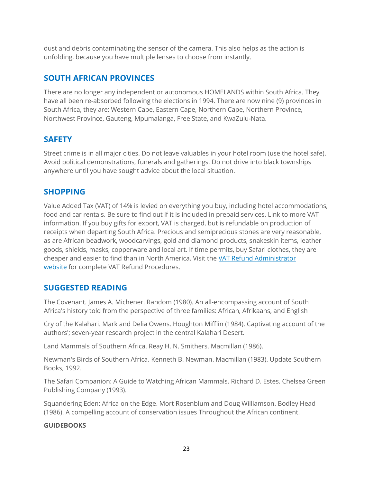dust and debris contaminating the sensor of the camera. This also helps as the action is unfolding, because you have multiple lenses to choose from instantly.

### **SOUTH AFRICAN PROVINCES**

There are no longer any independent or autonomous HOMELANDS within South Africa. They have all been re-absorbed following the elections in 1994. There are now nine (9) provinces in South Africa, they are: Western Cape, Eastern Cape, Northern Cape, Northern Province, Northwest Province, Gauteng, Mpumalanga, Free State, and KwaZulu-Nata.

### **SAFETY**

Street crime is in all major cities. Do not leave valuables in your hotel room (use the hotel safe). Avoid political demonstrations, funerals and gatherings. Do not drive into black townships anywhere until you have sought advice about the local situation.

### **SHOPPING**

Value Added Tax (VAT) of 14% is levied on everything you buy, including hotel accommodations, food and car rentals. Be sure to find out if it is included in prepaid services. Link to more VAT information. If you buy gifts for export, VAT is charged, but is refundable on production of receipts when departing South Africa. Precious and semiprecious stones are very reasonable, as are African beadwork, woodcarvings, gold and diamond products, snakeskin items, leather goods, shields, masks, copperware and local art. If time permits, buy Safari clothes, they are cheaper and easier to find than in North America. Visit the [VAT Refund Administrator](http://www.taxrefunds.co.za/images/downloads/Refund-Procedure-English.pdf)  [website](http://www.taxrefunds.co.za/images/downloads/Refund-Procedure-English.pdf) for complete VAT Refund Procedures.

### **SUGGESTED READING**

The Covenant. James A. Michener. Random (1980). An all-encompassing account of South Africa's history told from the perspective of three families: African, Afrikaans, and English

Cry of the Kalahari. Mark and Delia Owens. Houghton Mifflin (1984). Captivating account of the authors'; seven-year research project in the central Kalahari Desert.

Land Mammals of Southern Africa. Reay H. N. Smithers. Macmillan (1986).

Newman's Birds of Southern Africa. Kenneth B. Newman. Macmillan (1983). Update Southern Books, 1992.

The Safari Companion: A Guide to Watching African Mammals. Richard D. Estes. Chelsea Green Publishing Company (1993).

Squandering Eden: Africa on the Edge. Mort Rosenblum and Doug Williamson. Bodley Head (1986). A compelling account of conservation issues Throughout the African continent.

#### **GUIDEBOOKS**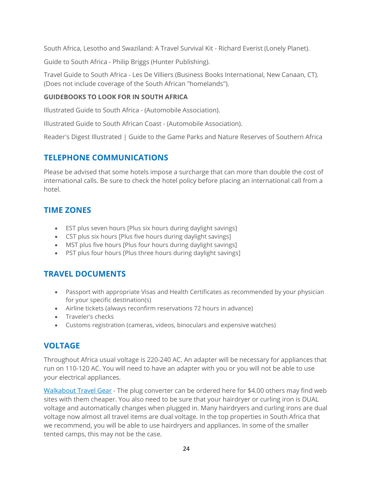South Africa, Lesotho and Swaziland: A Travel Survival Kit - Richard Everist (Lonely Planet).

Guide to South Africa - Philip Briggs (Hunter Publishing).

Travel Guide to South Africa - Les De Villiers (Business Books International, New Canaan, CT). (Does not include coverage of the South African "homelands").

#### **GUIDEBOOKS TO LOOK FOR IN SOUTH AFRICA**

Illustrated Guide to South Africa - (Automobile Association).

Illustrated Guide to South African Coast - (Automobile Association).

Reader's Digest Illustrated | Guide to the Game Parks and Nature Reserves of Southern Africa

### **TELEPHONE COMMUNICATIONS**

Please be advised that some hotels impose a surcharge that can more than double the cost of international calls. Be sure to check the hotel policy before placing an international call from a hotel.

### **TIME ZONES**

- EST plus seven hours [Plus six hours during daylight savings]
- CST plus six hours [Plus five hours during daylight savings]
- MST plus five hours [Plus four hours during daylight savings]
- PST plus four hours [Plus three hours during daylight savings]

### **TRAVEL DOCUMENTS**

- Passport with appropriate Visas and Health Certificates as recommended by your physician for your specific destination(s)
- Airline tickets (always reconfirm reservations 72 hours in advance)
- Traveler's checks
- Customs registration (cameras, videos, binoculars and expensive watches)

### **VOLTAGE**

Throughout Africa usual voltage is 220-240 AC. An adapter will be necessary for appliances that run on 110-120 AC. You will need to have an adapter with you or you will not be able to use your electrical appliances.

[Walkabout Travel Gear](http://www.walkabouttravelgear.com/nongr.htm) - The plug converter can be ordered here for \$4.00 others may find web sites with them cheaper. You also need to be sure that your hairdryer or curling iron is DUAL voltage and automatically changes when plugged in. Many hairdryers and curling irons are dual voltage now almost all travel items are dual voltage. In the top properties in South Africa that we recommend, you will be able to use hairdryers and appliances. In some of the smaller tented camps, this may not be the case.